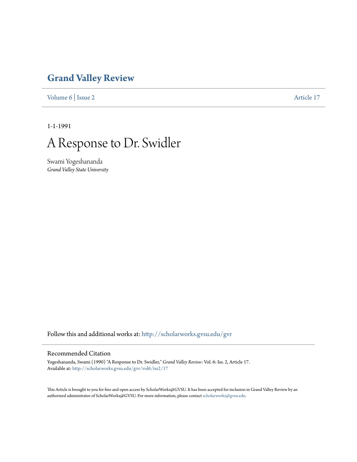## **[Grand Valley Review](http://scholarworks.gvsu.edu/gvr?utm_source=scholarworks.gvsu.edu%2Fgvr%2Fvol6%2Fiss2%2F17&utm_medium=PDF&utm_campaign=PDFCoverPages)**

[Volume 6](http://scholarworks.gvsu.edu/gvr/vol6?utm_source=scholarworks.gvsu.edu%2Fgvr%2Fvol6%2Fiss2%2F17&utm_medium=PDF&utm_campaign=PDFCoverPages) | [Issue 2](http://scholarworks.gvsu.edu/gvr/vol6/iss2?utm_source=scholarworks.gvsu.edu%2Fgvr%2Fvol6%2Fiss2%2F17&utm_medium=PDF&utm_campaign=PDFCoverPages) [Article 17](http://scholarworks.gvsu.edu/gvr/vol6/iss2/17?utm_source=scholarworks.gvsu.edu%2Fgvr%2Fvol6%2Fiss2%2F17&utm_medium=PDF&utm_campaign=PDFCoverPages)

1-1-1991



Swami Yogeshananda *Grand Valley State University*

Follow this and additional works at: [http://scholarworks.gvsu.edu/gvr](http://scholarworks.gvsu.edu/gvr?utm_source=scholarworks.gvsu.edu%2Fgvr%2Fvol6%2Fiss2%2F17&utm_medium=PDF&utm_campaign=PDFCoverPages)

## Recommended Citation

Yogeshananda, Swami (1990) "A Response to Dr. Swidler," *Grand Valley Review*: Vol. 6: Iss. 2, Article 17. Available at: [http://scholarworks.gvsu.edu/gvr/vol6/iss2/17](http://scholarworks.gvsu.edu/gvr/vol6/iss2/17?utm_source=scholarworks.gvsu.edu%2Fgvr%2Fvol6%2Fiss2%2F17&utm_medium=PDF&utm_campaign=PDFCoverPages)

This Article is brought to you for free and open access by ScholarWorks@GVSU. It has been accepted for inclusion in Grand Valley Review by an authorized administrator of ScholarWorks@GVSU. For more information, please contact [scholarworks@gvsu.edu.](mailto:scholarworks@gvsu.edu)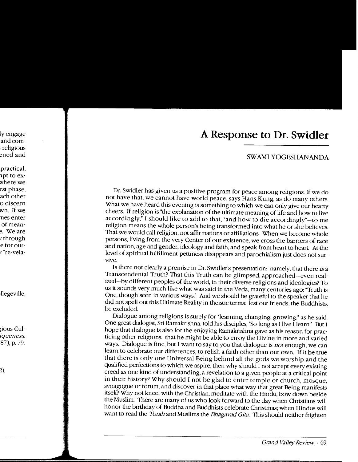## A Response to Dr. Swidler

## SWAMI YOGESHANANDA

Dr. Swidler has given us a positive program for peace among religions. If we do not have that, we cannot have world peace, says Hans Kung, as do many others. What we have heard this evening is something to which we can only give our hearty cheers. If religion is "the explanation of the ultimate meaning of life and how to live accordingly," I should like to add to that, "and how to die accordingly"-to me religion means the whole person's being transformed into what he or she believes. That we would call religion, not affirmations or affiliations. When we become whole persons, living from the very Center of our existence, we cross the barriers of race and nation, age and gender, ideology and faith, and speak from heart to heart. At the level of spiritual fulfillment pettiness disappears and parochialism just does not survive.

Is there not clearly a premise in Dr. Swidler's presentation: namely, that there is a Transcendental Truth? That this Truth can be glimpsed, approached-even realized-by different peoples of the world, in their diverse religions and ideologies? To us it sounds very much like what was said in the Veda, many centuries ago: "Truth is One, though seen in various ways." And we should be grateful to the speaker that he did not spell out this Ultimate Reality in theistic terms: lest our friends, the Buddhists, be excluded.

Dialogue among religions is surely for "learning, changing, growing," as he said. One great dialogist, Sri Ramakrishna, told his disciples, "So long as I live I learn." But I hope that dialogue is also for the enjoying Ramakrishna gave as his reason for practicing other religions: that he might be able to enjoy the Divine in more and varied ways. Dialogue is fine, but I want to say to you that dialogue is not enough; we can learn to celebrate our differences, to relish a faith other than our own. If it be true that there is only one Universal Being behind all the gods we worship and the qualified perfections to which we aspire, then why should I not accept every existing creed as one kind of understanding, a revelation to a given people at a critical point in their history? Why should I not be glad to enter temple or church, mosque, synagogue or forum, and discover in that place what way that great Being manifests itself? Why not kneel with the Christian, meditate with the Hindu, bow down beside the Muslim. There are many of us who look forward to the day when Christians will honor the birthday of Buddha and Buddhists celebrate Christmas; when Hindus will want to read the Torah and Muslims the Bhagavad Gita. This should neither frighten